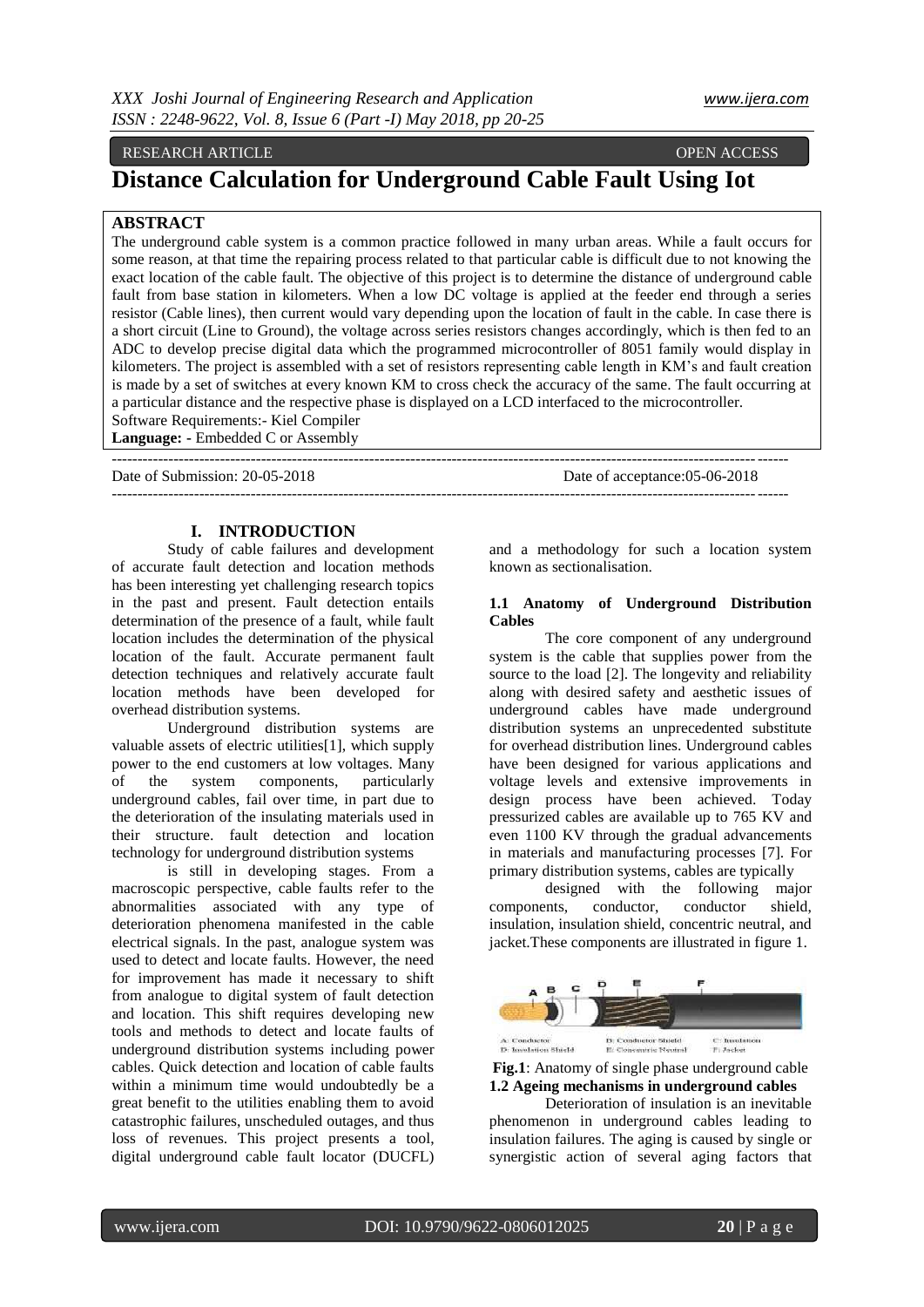# RESEARCH ARTICLE OPEN ACCESS

# **Distance Calculation for Underground Cable Fault Using Iot**

# **ABSTRACT**

The underground cable system is a common practice followed in many urban areas. While a fault occurs for some reason, at that time the repairing process related to that particular cable is difficult due to not knowing the exact location of the cable fault. The objective of this project is to determine the distance of underground cable fault from base station in kilometers. When a low DC voltage is applied at the feeder end through a series resistor (Cable lines), then current would vary depending upon the location of fault in the cable. In case there is a short circuit (Line to Ground), the voltage across series resistors changes accordingly, which is then fed to an ADC to develop precise digital data which the programmed microcontroller of 8051 family would display in kilometers. The project is assembled with a set of resistors representing cable length in KM's and fault creation is made by a set of switches at every known KM to cross check the accuracy of the same. The fault occurring at a particular distance and the respective phase is displayed on a LCD interfaced to the microcontroller. Software Requirements:- Kiel Compiler

-----------------------------------------------------------------------------------------------------------------------------------

-----------------------------------------------------------------------------------------------------------------------------------

**Language: -** Embedded C or Assembly

Date of Submission: 20-05-2018 Date of acceptance:05-06-2018

## **I. INTRODUCTION**

Study of cable failures and development of accurate fault detection and location methods has been interesting yet challenging research topics in the past and present. Fault detection entails determination of the presence of a fault, while fault location includes the determination of the physical location of the fault. Accurate permanent fault detection techniques and relatively accurate fault location methods have been developed for overhead distribution systems.

Underground distribution systems are valuable assets of electric utilities[1], which supply power to the end customers at low voltages. Many of the system components, particularly underground cables, fail over time, in part due to the deterioration of the insulating materials used in their structure. fault detection and location technology for underground distribution systems

is still in developing stages. From a macroscopic perspective, cable faults refer to the abnormalities associated with any type of deterioration phenomena manifested in the cable electrical signals. In the past, analogue system was used to detect and locate faults. However, the need for improvement has made it necessary to shift from analogue to digital system of fault detection and location. This shift requires developing new tools and methods to detect and locate faults of underground distribution systems including power cables. Quick detection and location of cable faults within a minimum time would undoubtedly be a great benefit to the utilities enabling them to avoid catastrophic failures, unscheduled outages, and thus loss of revenues. This project presents a tool, digital underground cable fault locator (DUCFL) and a methodology for such a location system known as sectionalisation.

#### **1.1 Anatomy of Underground Distribution Cables**

The core component of any underground system is the cable that supplies power from the source to the load [2]. The longevity and reliability along with desired safety and aesthetic issues of underground cables have made underground distribution systems an unprecedented substitute for overhead distribution lines. Underground cables have been designed for various applications and voltage levels and extensive improvements in design process have been achieved. Today pressurized cables are available up to 765 KV and even 1100 KV through the gradual advancements in materials and manufacturing processes [7]. For primary distribution systems, cables are typically

designed with the following major components, conductor, conductor shield, insulation, insulation shield, concentric neutral, and jacket.These components are illustrated in figure 1.



**Fig.1**: Anatomy of single phase underground cable **1.2 Ageing mechanisms in underground cables**

Deterioration of insulation is an inevitable phenomenon in underground cables leading to insulation failures. The aging is caused by single or synergistic action of several aging factors that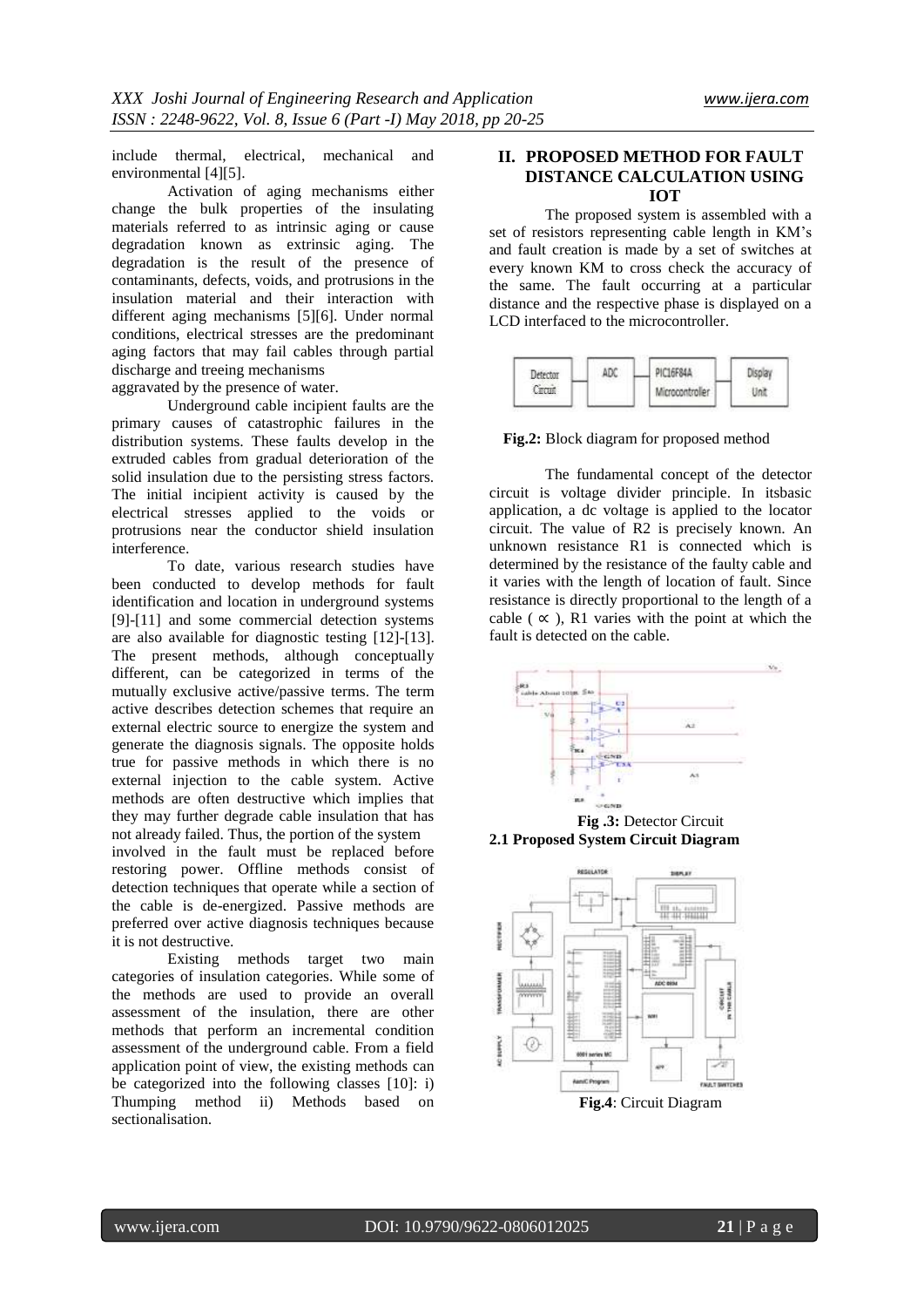include thermal, electrical, mechanical and environmental [4][5].

Activation of aging mechanisms either change the bulk properties of the insulating materials referred to as intrinsic aging or cause degradation known as extrinsic aging. The degradation is the result of the presence of contaminants, defects, voids, and protrusions in the insulation material and their interaction with different aging mechanisms [5][6]. Under normal conditions, electrical stresses are the predominant aging factors that may fail cables through partial discharge and treeing mechanisms

aggravated by the presence of water.

Underground cable incipient faults are the primary causes of catastrophic failures in the distribution systems. These faults develop in the extruded cables from gradual deterioration of the solid insulation due to the persisting stress factors. The initial incipient activity is caused by the electrical stresses applied to the voids or protrusions near the conductor shield insulation interference.

To date, various research studies have been conducted to develop methods for fault identification and location in underground systems [9]-[11] and some commercial detection systems are also available for diagnostic testing [12]-[13]. The present methods, although conceptually different, can be categorized in terms of the mutually exclusive active/passive terms. The term active describes detection schemes that require an external electric source to energize the system and generate the diagnosis signals. The opposite holds true for passive methods in which there is no external injection to the cable system. Active methods are often destructive which implies that they may further degrade cable insulation that has not already failed. Thus, the portion of the system

involved in the fault must be replaced before restoring power. Offline methods consist of detection techniques that operate while a section of the cable is de-energized. Passive methods are preferred over active diagnosis techniques because it is not destructive.

Existing methods target two main categories of insulation categories. While some of the methods are used to provide an overall assessment of the insulation, there are other methods that perform an incremental condition assessment of the underground cable. From a field application point of view, the existing methods can be categorized into the following classes [10]: i) Thumping method ii) Methods based on sectionalisation.

# **II. PROPOSED METHOD FOR FAULT DISTANCE CALCULATION USING IOT**

The proposed system is assembled with a set of resistors representing cable length in KM's and fault creation is made by a set of switches at every known KM to cross check the accuracy of the same. The fault occurring at a particular distance and the respective phase is displayed on a LCD interfaced to the microcontroller.

| Detector<br>Circuit | AΓX | PIC16F84A       |  |
|---------------------|-----|-----------------|--|
|                     |     | Microcontroller |  |

**Fig.2:** Block diagram for proposed method

The fundamental concept of the detector circuit is voltage divider principle. In itsbasic application, a dc voltage is applied to the locator circuit. The value of R2 is precisely known. An unknown resistance R1 is connected which is determined by the resistance of the faulty cable and it varies with the length of location of fault. Since resistance is directly proportional to the length of a cable ( $\alpha$ ), R1 varies with the point at which the fault is detected on the cable.



**2.1 Proposed System Circuit Diagram**

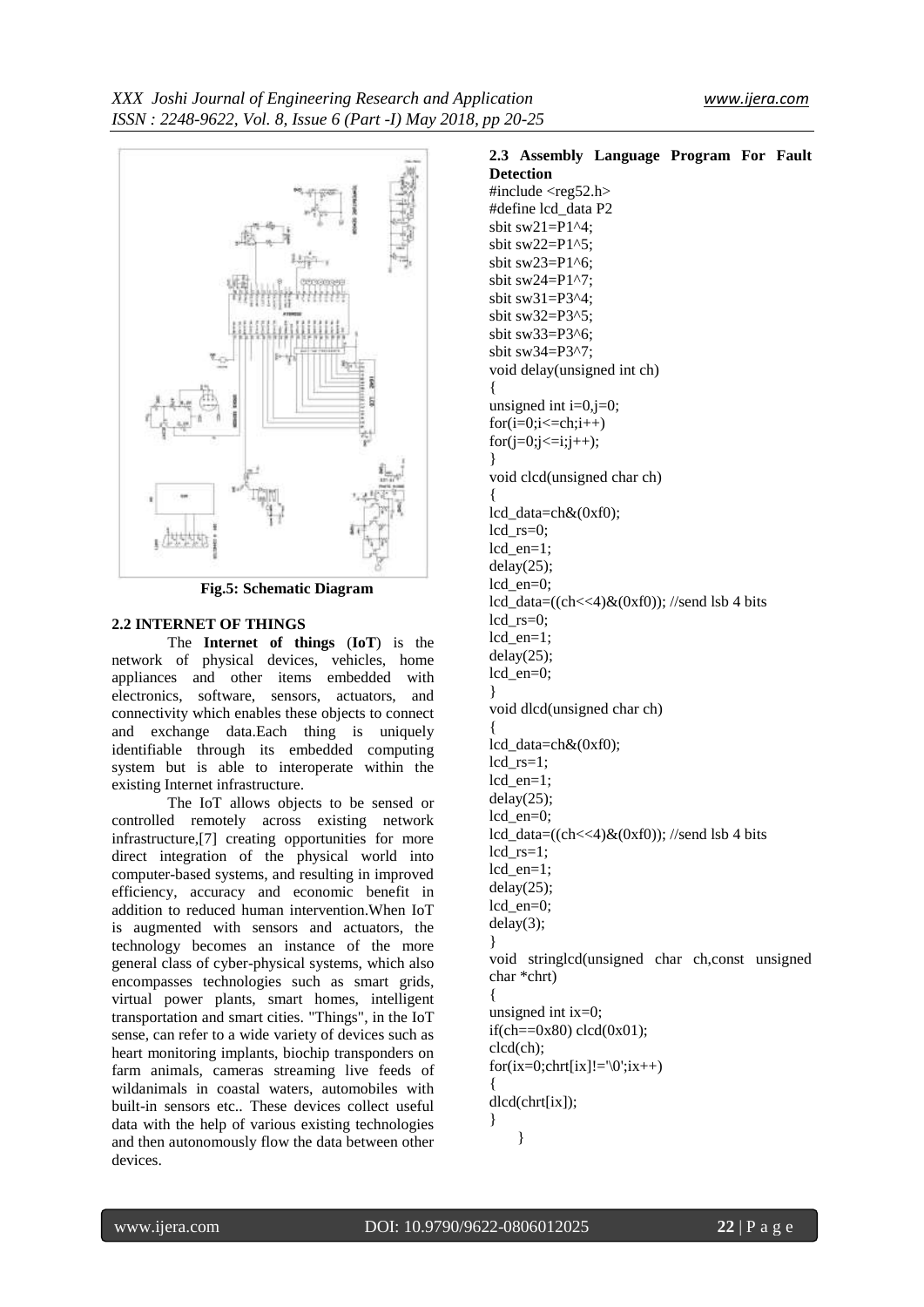

**Fig.5: Schematic Diagram**

## **2.2 INTERNET OF THINGS**

The **Internet of things** (**IoT**) is the network of physical devices, vehicles, home appliances and other items embedded with electronics, software, sensors, actuators, and connectivity which enables these objects to connect and exchange data.Each thing is uniquely identifiable through its embedded computing system but is able to interoperate within the existing Internet infrastructure.

The IoT allows objects to be sensed or controlled remotely across existing network infrastructure,[7] creating opportunities for more direct integration of the physical world into computer-based systems, and resulting in improved efficiency, accuracy and economic benefit in addition to reduced human intervention.When IoT is augmented with sensors and actuators, the technology becomes an instance of the more general class of cyber-physical systems, which also encompasses technologies such as smart grids, virtual power plants, smart homes, intelligent transportation and smart cities. "Things", in the IoT sense, can refer to a wide variety of devices such as heart monitoring implants, biochip transponders on farm animals, cameras streaming live feeds of wildanimals in coastal waters, automobiles with built-in sensors etc.. These devices collect useful data with the help of various existing technologies and then autonomously flow the data between other devices.

**2.3 Assembly Language Program For Fault Detection** #include <reg52.h> #define lcd\_data P2 sbit sw $21=PI^4$ : sbit sw $22=PI^5$ : sbit sw23=P1^6; sbit sw24= $P1^2$ ?: sbit sw31=P3^4; sbit sw32=P3^5; sbit sw33=P3^6; sbit sw $34=$ P $3^2$ : void delay(unsigned int ch) { unsigned int  $i=0, j=0$ ;  $for(i=0;i<=ch;i++)$  $for (j=0; j<=i; j++)$ ; } void clcd(unsigned char ch) { lcd\_data=ch&(0xf0); lcd\_rs=0; lcd\_en=1;  $delay(25)$ ; lcd\_en=0; lcd\_data=((ch<<4) $&$ (0xf0)); //send lsb 4 bits lcd\_rs=0; lcd\_en=1;  $delay(25);$ lcd\_en=0; } void dlcd(unsigned char ch) { lcd\_data=ch&(0xf0); lcd  $rs=1$ : lcd\_en=1; delay(25); lcd\_en=0; lcd\_data=((ch<<4) $\&$ (0xf0)); //send lsb 4 bits  $lcd\_rs=1;$ lcd\_en=1;  $delay(25);$ lcd\_en=0; delay(3); } void stringlcd(unsigned char ch,const unsigned char \*chrt) { unsigned int  $ix=0$ : if(ch==0x80) clcd(0x01); clcd(ch);  $for (ix=0): chrt[ix]!=\0"; ix++)$ { dlcd(chrt[ix]); } }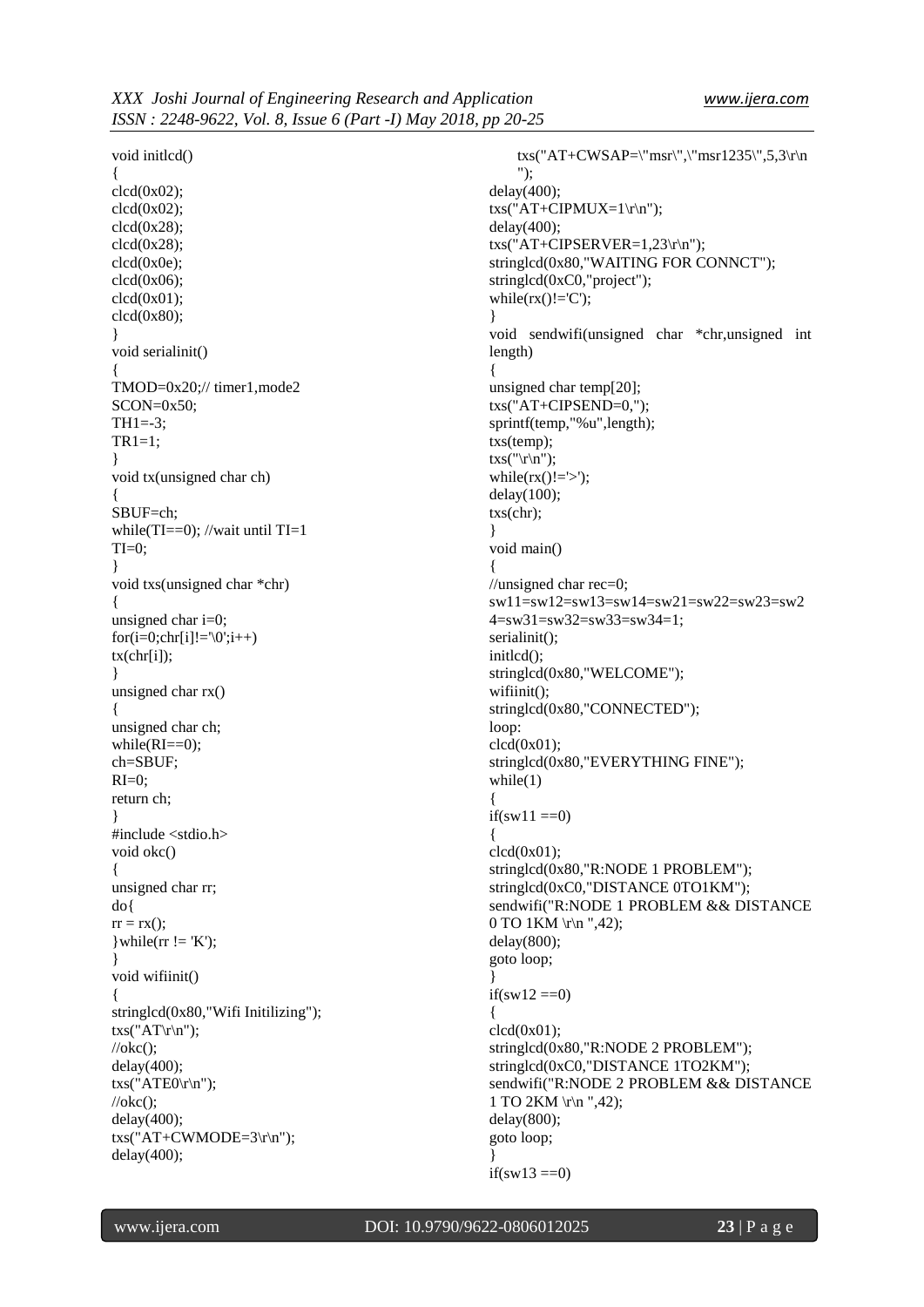void initlcd() { clcd(0x02); clcd(0x02); clcd(0x28); clcd(0x28); clcd(0x0e);  $clcd(0x06);$ clcd(0x01); clcd(0x80); } void serialinit() { TMOD=0x20;// timer1,mode2  $SCON=0x50$ : TH1=-3;  $TR1=1;$ } void tx(unsigned char ch) { SBUF=ch; while(TI==0); //wait until TI=1  $TI=0$ : } void txs(unsigned char \*chr) { unsigned char i=0;  $for(i=0;chr[i]!=\langle 0';i++)$  $tx(chr[i])$ ; } unsigned char rx()  $\left\{ \right.$ unsigned char ch; while $(RI==0)$ ; ch=SBUF;  $RI=0$ : return ch; } #include <stdio.h> void okc() { unsigned char rr; do{  $rr = rx()$ ;  $\text{while}(\text{rr} != 'K');$ } void wifiinit() { stringlcd(0x80,"Wifi Initilizing");  $txs("AT\rrbracket\$  $//$ okc $()$ ; delay(400);  $txs("ATE0\rrbracket n$ ");  $//$ okc $()$ ; delay(400); txs("AT+CWMODE=3\r\n"); delay(400);

txs("AT+CWSAP=\"msr\",\"msr1235\",5,3\r\n "); delay(400);  $txs("AT+CIPMUX=1\rr\n|n";$ delay(400); txs("AT+CIPSERVER=1,23\r\n"); stringlcd(0x80,"WAITING FOR CONNCT"); stringlcd(0xC0,"project"); while $(rx()!='C')$ ; } void sendwifi(unsigned char \*chr,unsigned int length) { unsigned char temp[20]; txs("AT+CIPSEND=0,"); sprintf(temp,"%u",length); txs(temp);  $txs("r\nu")$ ; while( $rx()!=\rangle$ );  $delay(100);$ txs(chr); } void main() { //unsigned char rec=0; sw11=sw12=sw13=sw14=sw21=sw22=sw23=sw2 4=sw31=sw32=sw33=sw34=1; serialinit(); initlcd(); stringlcd(0x80,"WELCOME"); wifiinit(); stringlcd(0x80,"CONNECTED"); loop:  $clcd(0x01)$ ; stringlcd(0x80,"EVERYTHING FINE"); while(1) {  $if(sw11 == 0)$ { clcd(0x01); stringlcd(0x80,"R:NODE 1 PROBLEM"); stringlcd(0xC0,"DISTANCE 0TO1KM"); sendwifi("R:NODE 1 PROBLEM && DISTANCE 0 TO 1KM \r\n ",42); delay(800); goto loop; } if(sw12 ==0) {  $clcd(0x01)$ ; stringlcd(0x80,"R:NODE 2 PROBLEM"); stringlcd(0xC0,"DISTANCE 1TO2KM"); sendwifi("R:NODE 2 PROBLEM && DISTANCE 1 TO 2KM \r\n ",42); delay(800); goto loop; }  $if(sw13 == 0)$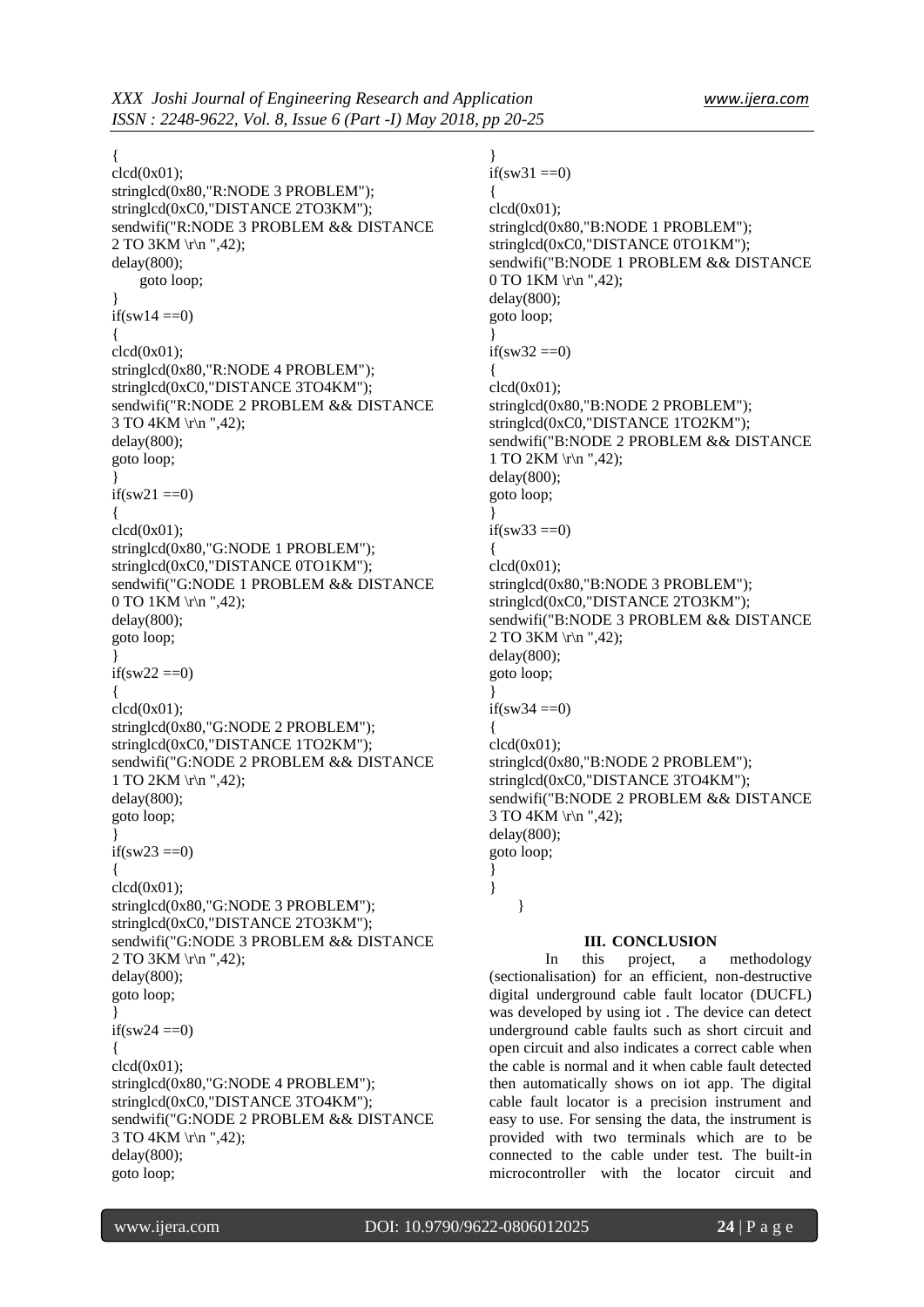## {

 $clcd(0x01);$ stringlcd(0x80,"R:NODE 3 PROBLEM"); stringlcd(0xC0,"DISTANCE 2TO3KM"); sendwifi("R:NODE 3 PROBLEM && DISTANCE 2 TO 3KM \r\n ",42); delay(800); goto loop; } if(sw14 $== 0$ ) { clcd(0x01); stringlcd(0x80,"R:NODE 4 PROBLEM"); stringlcd(0xC0,"DISTANCE 3TO4KM"); sendwifi("R:NODE 2 PROBLEM && DISTANCE 3 TO 4KM \r\n ",42); delay(800); goto loop; } if(sw21  $==0$ ) {  $clcd(0x01);$ stringlcd(0x80,"G:NODE 1 PROBLEM"); stringlcd(0xC0,"DISTANCE 0TO1KM"); sendwifi("G:NODE 1 PROBLEM && DISTANCE 0 TO 1KM \r\n ",42); delay(800); goto loop; } if(sw22 $== 0$ ) {  $clcd(0x01);$ stringlcd(0x80,"G:NODE 2 PROBLEM"); stringlcd(0xC0,"DISTANCE 1TO2KM"); sendwifi("G:NODE 2 PROBLEM && DISTANCE 1 TO  $2KM \rightharpoonup n$  ",42); delay(800); goto loop; } if(sw23  $==0$ ) {  $clcd(0x01);$ stringlcd(0x80,"G:NODE 3 PROBLEM"); stringlcd(0xC0,"DISTANCE 2TO3KM"); sendwifi("G:NODE 3 PROBLEM && DISTANCE 2 TO 3KM \r\n ",42); delay(800); goto loop; } if(sw24  $==0$ ) {  $clcd(0x01)$ : stringlcd(0x80,"G:NODE 4 PROBLEM"); stringlcd(0xC0,"DISTANCE 3TO4KM"); sendwifi("G:NODE 2 PROBLEM && DISTANCE 3 TO 4KM \r\n ",42); delay(800); goto loop;

} if(sw31 ==0) {  $clcd(0x01)$ ; stringlcd(0x80,"B:NODE 1 PROBLEM"); stringlcd(0xC0,"DISTANCE 0TO1KM"); sendwifi("B:NODE 1 PROBLEM && DISTANCE  $0$  TO 1KM \r\n ",42); delay(800); goto loop; }  $if(sw32 == 0)$ {  $clcd(0x01)$ : stringlcd(0x80,"B:NODE 2 PROBLEM"); stringlcd(0xC0,"DISTANCE 1TO2KM"); sendwifi("B:NODE 2 PROBLEM && DISTANCE 1 TO 2KM \r\n ",42); delay(800); goto loop; } if(sw33 ==0) {  $clcd(0x01)$ ; stringlcd(0x80,"B:NODE 3 PROBLEM"); stringlcd(0xC0,"DISTANCE 2TO3KM"); sendwifi("B:NODE 3 PROBLEM && DISTANCE 2 TO 3KM \r\n ",42); delay(800); goto loop; } if(sw34  $==0$ ) {  $clcd(0x01)$ ; stringlcd(0x80,"B:NODE 2 PROBLEM"); stringlcd(0xC0,"DISTANCE 3TO4KM"); sendwifi("B:NODE 2 PROBLEM && DISTANCE 3 TO 4KM \r\n ",42); delay(800); goto loop; } } }

## **III. CONCLUSION**

In this project, a methodology (sectionalisation) for an efficient, non-destructive digital underground cable fault locator (DUCFL) was developed by using iot . The device can detect underground cable faults such as short circuit and open circuit and also indicates a correct cable when the cable is normal and it when cable fault detected then automatically shows on iot app. The digital cable fault locator is a precision instrument and easy to use. For sensing the data, the instrument is provided with two terminals which are to be connected to the cable under test. The built-in microcontroller with the locator circuit and